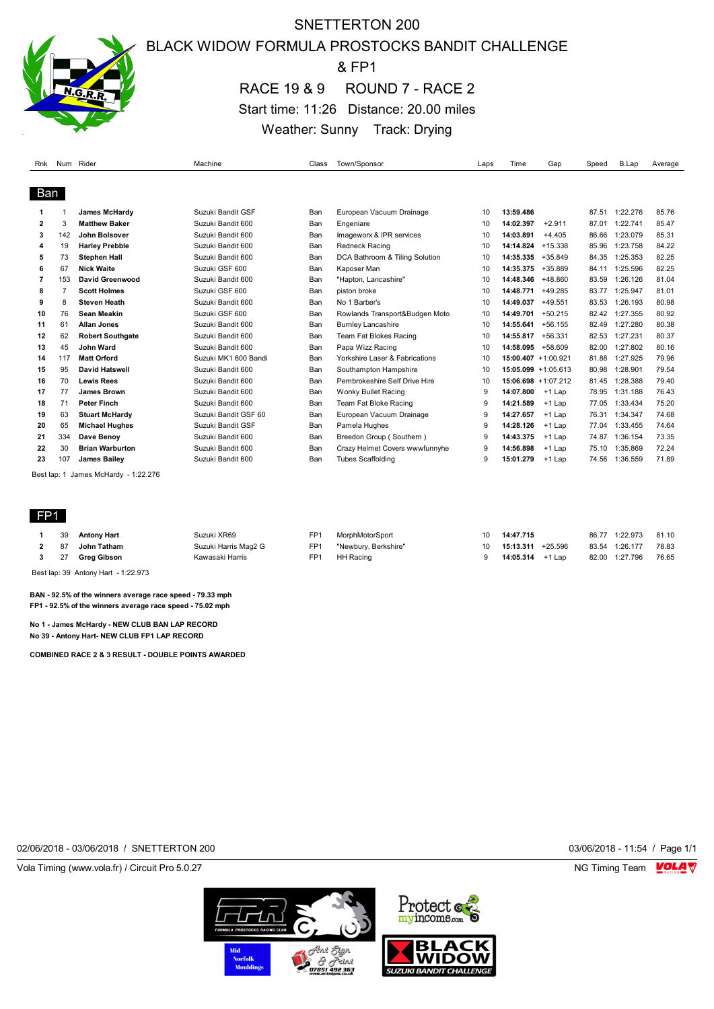

## SNETTERTON 200 BLACK WIDOW FORMULA PROSTOCKS BANDIT CHALLENGE & FP1

RACE 19 & 9 ROUND 7 - RACE 2 Start time: 11:26 Distance: 20.00 miles Weather: Sunny Track: Drying

| Rnk          | Num | Rider                   | Machine              | Class | Town/Sponsor                   | Laps | Time                   | Gap       | Speed | B.Lap    | Average |
|--------------|-----|-------------------------|----------------------|-------|--------------------------------|------|------------------------|-----------|-------|----------|---------|
|              |     |                         |                      |       |                                |      |                        |           |       |          |         |
| Ban          |     |                         |                      |       |                                |      |                        |           |       |          |         |
|              |     | <b>James McHardy</b>    | Suzuki Bandit GSF    | Ban   | European Vacuum Drainage       | 10   | 13:59.486              |           | 87.51 | 1:22.276 | 85.76   |
| $\mathbf{2}$ | 3   | <b>Matthew Baker</b>    | Suzuki Bandit 600    | Ban   | Engeniare                      | 10   | 14:02.397              | $+2.911$  | 87.01 | 1:22.741 | 85.47   |
| 3            | 142 | John Bolsover           | Suzuki Bandit 600    | Ban   | Imageworx & IPR services       | 10   | 14:03.891              | $+4.405$  | 86.66 | 1:23.079 | 85.31   |
| 4            | 19  | <b>Harley Prebble</b>   | Suzuki Bandit 600    | Ban   | <b>Redneck Racing</b>          | 10   | 14:14.824              | $+15.338$ | 85.96 | 1:23.758 | 84.22   |
| 5            | 73  | <b>Stephen Hall</b>     | Suzuki Bandit 600    | Ban   | DCA Bathroom & Tiling Solution | 10   | 14:35.335              | $+35.849$ | 84.35 | 1:25.353 | 82.25   |
| 6            | 67  | <b>Nick Waite</b>       | Suzuki GSF 600       | Ban   | Kaposer Man                    | 10   | 14:35.375              | +35.889   | 84.11 | 1:25.596 | 82.25   |
| 7            | 153 | David Greenwood         | Suzuki Bandit 600    | Ban   | "Hapton, Lancashire"           | 10   | 14:48.346              | +48.860   | 83.59 | 1:26.126 | 81.04   |
| 8            |     | <b>Scott Holmes</b>     | Suzuki GSF 600       | Ban   | piston broke                   | 10   | 14:48.771              | $+49.285$ | 83.77 | 1:25.947 | 81.01   |
| 9            | 8   | <b>Steven Heath</b>     | Suzuki Bandit 600    | Ban   | No 1 Barber's                  | 10   | 14:49.037              | $+49.551$ | 83.53 | 1:26.193 | 80.98   |
| 10           | 76  | <b>Sean Meakin</b>      | Suzuki GSF 600       | Ban   | Rowlands Transport&Budgen Moto | 10   | 14:49.701              | $+50.215$ | 82.42 | 1:27.355 | 80.92   |
| 11           | 61  | <b>Allan Jones</b>      | Suzuki Bandit 600    | Ban   | <b>Burnley Lancashire</b>      | 10   | 14:55.641              | $+56.155$ | 82.49 | 1:27.280 | 80.38   |
| 12           | 62  | <b>Robert Southgate</b> | Suzuki Bandit 600    | Ban   | Team Fat Blokes Racing         | 10   | 14:55.817              | $+56.331$ | 82.53 | 1:27.231 | 80.37   |
| 13           | 45  | John Ward               | Suzuki Bandit 600    | Ban   | Papa Wizz Racing               | 10   | 14:58.095              | +58.609   | 82.00 | 1:27.802 | 80.16   |
| 14           | 117 | <b>Matt Orford</b>      | Suzuki MK1 600 Bandi | Ban   | Yorkshire Laser & Fabrications | 10   | $15:00.407 + 1:00.921$ |           | 81.88 | 1:27.925 | 79.96   |
| 15           | 95  | David Hatswell          | Suzuki Bandit 600    | Ban   | Southampton Hampshire          | 10   | $15:05.099 + 1:05.613$ |           | 80.98 | 1:28.901 | 79.54   |
| 16           | 70  | <b>Lewis Rees</b>       | Suzuki Bandit 600    | Ban   | Pembrokeshire Self Drive Hire  | 10   | 15:06.698 +1:07.212    |           | 81.45 | 1:28.388 | 79.40   |
| 17           | 77  | James Brown             | Suzuki Bandit 600    | Ban   | Wonky Bullet Racing            | 9    | 14:07.800              | $+1$ Lap  | 78.95 | 1:31.188 | 76.43   |
| 18           | 71  | <b>Peter Finch</b>      | Suzuki Bandit 600    | Ban   | Team Fat Bloke Racing          | g    | 14:21.589              | $+1$ Lap  | 77.05 | 1:33.434 | 75.20   |
| 19           | 63  | <b>Stuart McHardy</b>   | Suzuki Bandit GSF 60 | Ban   | European Vacuum Drainage       | 9    | 14:27.657              | $+1$ Lap  | 76.31 | 1:34.347 | 74.68   |
| 20           | 65  | <b>Michael Hughes</b>   | Suzuki Bandit GSF    | Ban   | Pamela Hughes                  | g    | 14:28.126              | $+1$ Lap  | 77.04 | 1:33.455 | 74.64   |
| 21           | 334 | Dave Benoy              | Suzuki Bandit 600    | Ban   | Breedon Group (Southern)       | 9    | 14:43.375              | $+1$ Lap  | 74.87 | 1:36.154 | 73.35   |
| 22           | 30  | <b>Brian Warburton</b>  | Suzuki Bandit 600    | Ban   | Crazy Helmet Covers wwwfunnyhe | g    | 14:56.898              | $+1$ Lap  | 75.10 | 1:35.869 | 72.24   |
| 23           | 107 | <b>James Bailev</b>     | Suzuki Bandit 600    | Ban   | <b>Tubes Scaffolding</b>       | g    | 15:01.279              | $+1$ Lap  | 74.56 | 1:36.559 | 71.89   |
|              |     |                         |                      |       |                                |      |                        |           |       |          |         |

Best lap: 1 James McHardy - 1:22.276

#### FP1

|   | 39 | <b>Antony Hart</b> | Suzuki XR69          | FP <sub>1</sub> | MorphMotorSport      | 10              | 14:47.715            |       | 86.77 1:22.973 | 81.10 |
|---|----|--------------------|----------------------|-----------------|----------------------|-----------------|----------------------|-------|----------------|-------|
|   | 87 | John Tatham        | Suzuki Harris Mag2 G | FP <sub>1</sub> | "Newbury, Berkshire" | 10 <sup>1</sup> | 15:13.311<br>+25.596 | 83.54 | 1:26.177       | 78.83 |
| 3 |    | 27 Grea Gibson     | Kawasaki Harris      | FP <sub>1</sub> | HH Racing            |                 | 14:05.314 +1 Lap     |       | 82.00 1:27.796 | 76.65 |
|   |    |                    |                      |                 |                      |                 |                      |       |                |       |

Best lap: 39 Antony Hart - 1:22.973

**BAN - 92.5% of the winners average race speed - 79.33 mph FP1 - 92.5% of the winners average race speed - 75.02 mph**

**No 1 - James McHardy - NEW CLUB BAN LAP RECORD No 39 - Antony Hart- NEW CLUB FP1 LAP RECORD**

**COMBINED RACE 2 & 3 RESULT - DOUBLE POINTS AWARDED**

02/06/2018 - 03/06/2018 / SNETTERTON 200 03/06/2018 - 11:54 / Page 1/1

Vola Timing (www.vola.fr) / Circuit Pro 5.0.27 NG Timing Team NG Timing Team NG Timing Team NG Timing Team NG



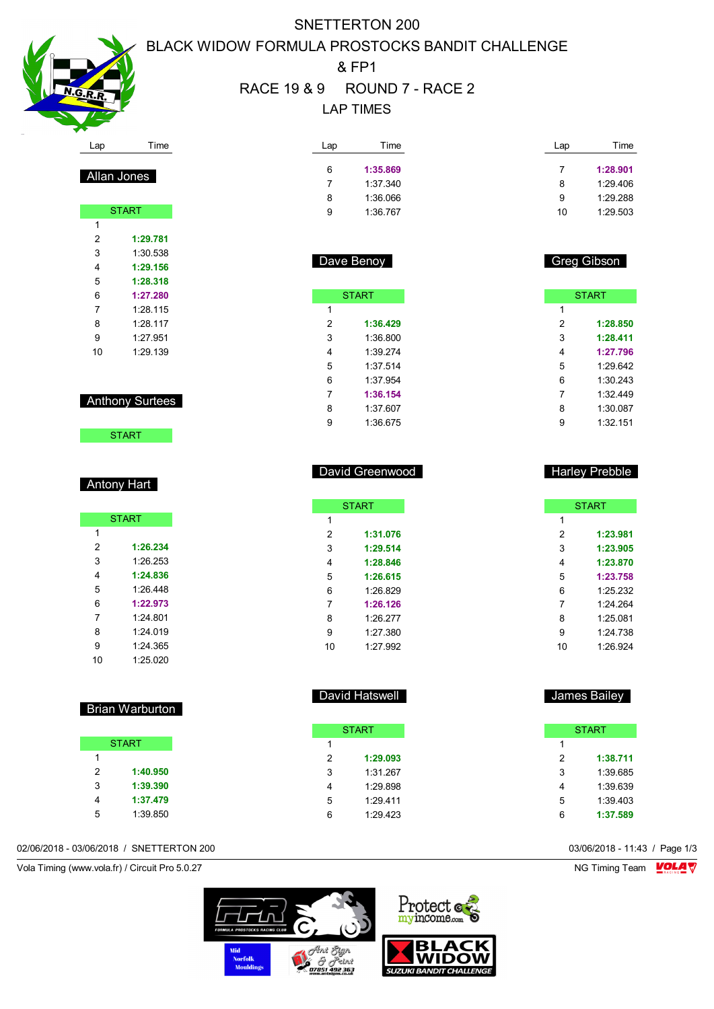

Allan Jones

START

 **1:29.781** 1:30.538 **1:29.156 1:28.318 1:27.280** 1:28.115 1:28.117 1:27.951 1:29.139

Anthony Surtees

**START** 

**START** 

 **1:26.234** 1:26.253 **1:24.836** 1:26.448 **1:22.973** 1:24.801 1:24.019 1:24.365 1:25.020

Antony Hart

 $\overline{1}$ 

# SNETTERTON 200 BLACK WIDOW FORMULA PROSTOCKS BANDIT CHALLENGE & FP1

# RACE 19 & 9 ROUND 7 - RACE 2 LAP TIMES

Dav

 1:27.380 1:27.992

| Lap | Time     | Lap | Time     |
|-----|----------|-----|----------|
| 6   | 1:35.869 |     | 1:28.901 |
|     | 1:37.340 | 8   | 1:29.406 |
| 8   | 1:36.066 | 9   | 1:29.288 |
| 9   | 1:36.767 | 10  | 1:29.503 |

|   | ave Benoy    |   | Greg Gibson  |
|---|--------------|---|--------------|
|   | <b>START</b> |   | <b>START</b> |
| 1 |              | 1 |              |
| 2 | 1:36.429     | 2 | 1:28.850     |
| 3 | 1:36.800     | 3 | 1:28.411     |
| 4 | 1:39.274     | 4 | 1:27.796     |
| 5 | 1:37.514     | 5 | 1:29.642     |
| 6 | 1:37.954     | 6 | 1:30.243     |
| 7 | 1:36.154     | 7 | 1:32.449     |
| 8 | 1:37.607     | 8 | 1:30.087     |
| 9 | 1:36.675     | 9 | 1:32.151     |
|   |              |   |              |

| David Greenwood |              |  |  |   | <b>Harley Prebble</b> |
|-----------------|--------------|--|--|---|-----------------------|
|                 | <b>START</b> |  |  |   | <b>START</b>          |
| 1               |              |  |  | 1 |                       |
| 2               | 1:31.076     |  |  | 2 | 1:23.981              |
| 3               | 1:29.514     |  |  | 3 | 1:23.905              |
| 4               | 1:28.846     |  |  | 4 | 1:23.870              |
| 5               | 1:26.615     |  |  | 5 | 1:23.758              |
| 6               | 1:26.829     |  |  | 6 | 1:25.232              |
| 7               | 1:26.126     |  |  | 7 | 1:24.264              |
| 8               | 1:26.277     |  |  | 8 | 1:25.081              |

|                | David Hatswell |                | James Bailey |
|----------------|----------------|----------------|--------------|
|                | <b>START</b>   |                | <b>START</b> |
| 1              |                |                |              |
| $\overline{2}$ | 1:29.093       | $\overline{2}$ | 1:38.711     |
| 3              | 1:31.267       | 3              | 1:39.685     |
| 4              | 1:29.898       | 4              | 1:39.639     |
| 5              | 1:29.411       | 5              | 1:39.403     |
| 6              | 1:29.423       | 6              | 1:37.589     |

 1:24.738 1:26.924

02/06/2018 - 03/06/2018 / SNETTERTON 200 03/06/2018 - 11:43 / Page 1/3





**WIDO** 

#### **1:40.950 1:39.390**

## **1:37.479** 1:39.850

Brian Warburton

**START** 

# Vola Timing (www.vola.fr) / Circuit Pro 5.0.27 NG Timing Team NG Timing Team NG Timing Team NG Timing Team NG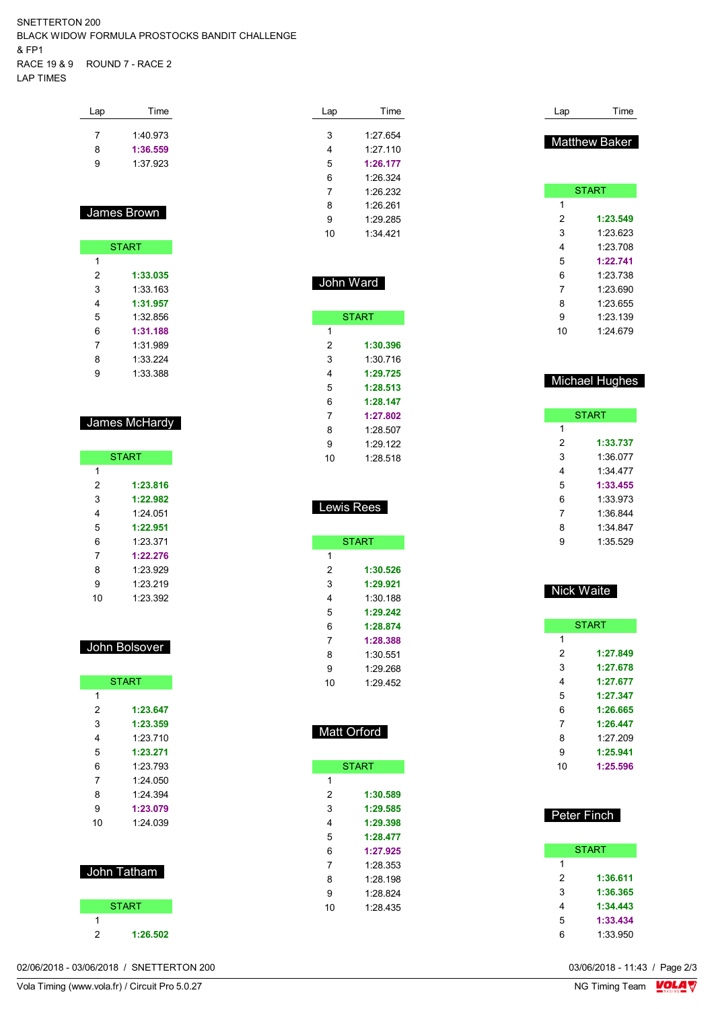SNETTERTON 200 BLACK WIDOW FORMULA PROSTOCKS BANDIT CHALLENGE & FP1 RACE 19 & 9 ROUND 7 - RACE 2 LAP TIMES

| Lap | Time     |
|-----|----------|
| 7   | 1:40.973 |
| 8   | 1:36.559 |
| 9   | 1.37923  |
|     |          |

### James Brown

|   | <b>START</b> |
|---|--------------|
| 1 |              |
| 2 | 1:33.035     |
| 3 | 1:33 163     |
| 4 | 1:31.957     |
| 5 | 1:32 856     |
| 6 | 1:31.188     |
| 7 | 1:31 989     |
| 8 | 1:33.224     |
| g | 1:33.388     |

#### James McHardy

|    | <b>START</b> |
|----|--------------|
| 1  |              |
| 2  | 1:23.816     |
| 3  | 1:22.982     |
| 4  | 1.24 051     |
| 5  | 1:22.951     |
| հ  | 1.23.371     |
| 7  | 1:22.276     |
| 8  | 1.23.929     |
| 9  | 1.23.219     |
| 10 | 1.23.392     |

#### John Bolsover

|    | <b>START</b> |
|----|--------------|
| 1  |              |
| 2  | 1:23.647     |
| 3  | 1:23.359     |
| 4  | 1:23.710     |
| 5  | 1:23.271     |
| 6  | 1.23793      |
| 7  | 1:24.050     |
| 8  | 1:24.394     |
| 9  | 1:23.079     |
| 10 | 1:24.039     |
|    |              |
|    |              |
|    |              |





| Lap | Time     |
|-----|----------|
|     |          |
| 3   | 1:27.654 |
| 4   | 1:27.110 |
| 5   | 1:26.177 |
| 6   | 1:26.324 |
| 7   | 1.26.232 |
| 8   | 1:26.261 |
| 9   | 1:29.285 |
| 10  | 1:34.421 |

| John Ward |              |  |  |  |
|-----------|--------------|--|--|--|
|           |              |  |  |  |
|           | <b>START</b> |  |  |  |
| 1         |              |  |  |  |
| 2         | 1:30.396     |  |  |  |
| 3         | 1:30.716     |  |  |  |
| 4         | 1:29.725     |  |  |  |
| 5         | 1:28.513     |  |  |  |
| 6         | 1:28.147     |  |  |  |
| 7         | 1:27.802     |  |  |  |
| 8         | 1:28.507     |  |  |  |
| 9         | 1.29.122     |  |  |  |
| 10        | 1:28.518     |  |  |  |

## Lewis Rees

|    | <b>START</b> |
|----|--------------|
| 1  |              |
| 2  | 1:30.526     |
| 3  | 1:29.921     |
| 4  | 1:30.188     |
| 5  | 1:29.242     |
| 6  | 1:28.874     |
| 7  | 1:28.388     |
| 8  | 1:30.551     |
| 9  | 1:29.268     |
| 10 | 1:29.452     |

#### Matt Orford

|    | <b>START</b> |
|----|--------------|
| 1  |              |
| 2  | 1:30.589     |
| 3  | 1:29.585     |
| 4  | 1:29.398     |
| 5  | 1:28.477     |
| 6  | 1:27.925     |
| 7  | 1:28.353     |
| 8  | $1.28$ 198   |
| 9  | 1.28.824     |
| 10 | 1 28 435     |
|    |              |

|    | <b>START</b> |
|----|--------------|
| 1  |              |
| 2  | 1:23.549     |
| 3  | 1:23.623     |
| 4  | 1:23.708     |
| 5  | 1:22.741     |
| 6  | 1:23.738     |
| 7  | 1:23.690     |
| 8  | 1:23.655     |
| 9  | 1:23.139     |
| 10 | 1:24.679     |
|    |              |
|    |              |

Lap Time

Matthew Baker

### Michael Hughes

|   | <b>START</b> |
|---|--------------|
| 1 |              |
| 2 | 1:33.737     |
| 3 | 1:36 077     |
| 4 | 1:34 477     |
| 5 | 1:33.455     |
| 6 | 1:33.973     |
| 7 | 1:36.844     |
| 8 | 1:34 847     |
| g | 1:35 529     |
|   |              |

#### Nick Waite

|    | <b>START</b> |
|----|--------------|
| 1  |              |
| 2  | 1:27.849     |
| 3  | 1:27.678     |
| 4  | 1:27.677     |
| 5  | 1:27.347     |
| 6  | 1:26.665     |
| 7  | 1.26 447     |
| 8  | 1:27.209     |
| 9  | 1:25.941     |
| 10 | 1:25.596     |

| Peter Finch |              |
|-------------|--------------|
|             | <b>START</b> |
| 1           |              |
| 2           | 1:36.611     |
| 3           | 1:36.365     |
| 4           | 1:34.443     |
| 5           | 1:33.434     |
| 6           | 1:33.950     |

03/06/2018 - 11:43 / Page 2/3<br>NG Timing Team  $\sqrt{\frac{Q}{M}}$ 

02/06/2018 - 03/06/2018 / SNETTERTON 200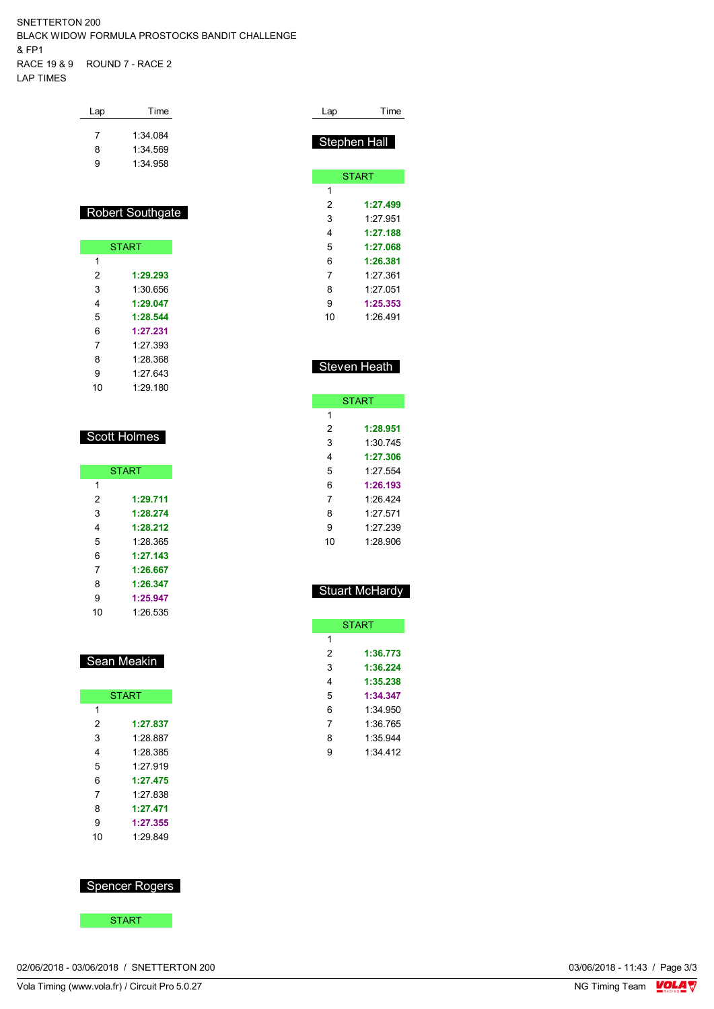SNETTERTON 200 BLACK WIDOW FORMULA PROSTOCKS BANDIT CHALLENGE & FP1 RACE 19 & 9 ROUND 7 - RACE 2 LAP TIMES

| Lap | Time     |
|-----|----------|
| 7   | 1:34.084 |
| 8   | 1:34 569 |
| g   | 1:34.958 |

#### Robert Southgate

|    | <b>START</b> |
|----|--------------|
| 1  |              |
| 2  | 1:29.293     |
| 3  | 1:30 656     |
| 4  | 1:29.047     |
| 5  | 1:28.544     |
| 6  | 1:27.231     |
| 7  | 1.27 393     |
| 8  | 1.28.368     |
| 9  | 1.27 643     |
| 10 | 1:29.180     |

#### Scott Holmes

| <b>START</b> |          |  |
|--------------|----------|--|
| 1            |          |  |
| 2            | 1:29.711 |  |
| 3            | 1:28.274 |  |
| 4            | 1:28.212 |  |
| 5            | 1:28.365 |  |
| 6            | 1:27.143 |  |
| 7            | 1:26.667 |  |
| 8            | 1:26.347 |  |
| 9            | 1:25.947 |  |
| 10           | 1:26.535 |  |

#### Sean Meakin

|    | <b>START</b> |
|----|--------------|
| 1  |              |
| 2  | 1:27.837     |
| 3  | 1:28.887     |
| 4  | 1.28.385     |
| 5  | 1.27919      |
| 6  | 1:27.475     |
| 7  | 1.27 838     |
| 8  | 1:27.471     |
| 9  | 1:27.355     |
| 10 | 1.29849      |

### Spencer Rogers

**START** 

| Lap | Time                |
|-----|---------------------|
|     |                     |
|     | <b>Stephen Hall</b> |
|     |                     |
|     | <b>START</b>        |
| 1   |                     |
| 2   | 1:27.499            |
| 3   | 1.27 951            |
| 4   | 1:27.188            |
| 5   | 1:27.068            |
| 6   | 1:26.381            |
| 7   | 1.27.361            |
| 8   | 1:27.051            |

## Steven Heath

 **1:25.353** 1:26.491

|    | <b>START</b> |
|----|--------------|
| 1  |              |
| 2  | 1:28.951     |
| 3  | 1:30 745     |
| 4  | 1:27.306     |
| 5  | 1.27554      |
| 6  | 1:26.193     |
| 7  | 1.26 424     |
| 8  | 1.27.571     |
| 9  | 1.27 239     |
| 10 | 1:28.906     |

#### Stuart McHardy

|   | <b>START</b> |
|---|--------------|
| 1 |              |
| 2 | 1:36.773     |
| 3 | 1:36.224     |
| 4 | 1:35.238     |
| 5 | 1:34.347     |
| 6 | 1:34.950     |
| 7 | 1:36 765     |
| 8 | 1:35 944     |
| g | 1:34 412     |
|   |              |

02/06/2018 - 03/06/2018 / SNETTERTON 200